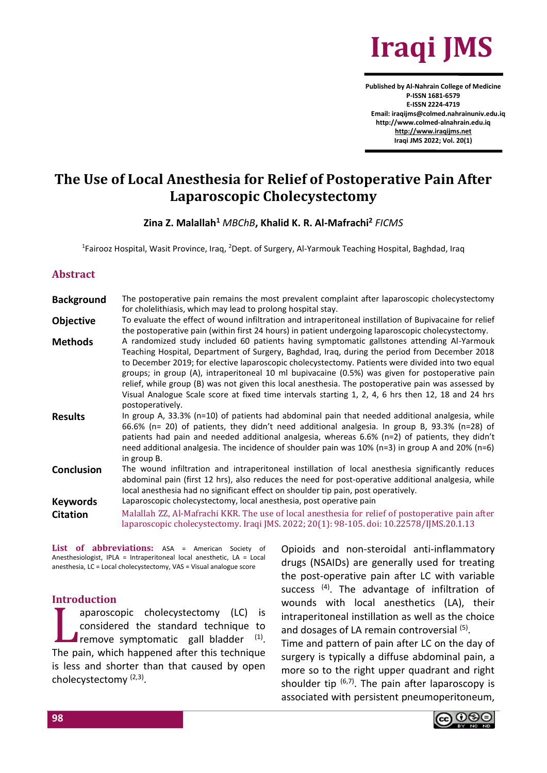

**Published by Al-Nahrain College of Medicine P-ISSN 1681-6579 E-ISSN 2224-4719 Email: iraqijms@colmed.nahrainuniv.edu.iq http://www.colmed-alnahrain.edu.iq [http://www.iraqijms.net](http://www.iraqijms.net/) Iraqi JMS 2022; Vol. 20(1)**

# **The Use of Local Anesthesia for Relief of Postoperative Pain After Laparoscopic Cholecystectomy**

#### **Zina Z. Malallah<sup>1</sup>** *MBChB***, Khalid K. R. Al-Mafrachi<sup>2</sup>** *FICMS*

<sup>1</sup>Fairooz Hospital, Wasit Province, Iraq, <sup>2</sup>Dept. of Surgery, Al-Yarmouk Teaching Hospital, Baghdad, Iraq

#### **Abstract**

**Background** The postoperative pain remains the most prevalent complaint after laparoscopic cholecystectomy for cholelithiasis, which may lead to prolong hospital stay. **Objective** To evaluate the effect of wound infiltration and intraperitoneal instillation of Bupivacaine for relief the postoperative pain (within first 24 hours) in patient undergoing laparoscopic cholecystectomy. **Methods** A randomized study included 60 patients having symptomatic gallstones attending Al-Yarmouk Teaching Hospital, Department of Surgery, Baghdad, Iraq, during the period from December 2018 to December 2019; for elective laparoscopic cholecystectomy. Patients were divided into two equal groups; in group (A), intraperitoneal 10 ml bupivacaine (0.5%) was given for postoperative pain relief, while group (B) was not given this local anesthesia. The postoperative pain was assessed by Visual Analogue Scale score at fixed time intervals starting 1, 2, 4, 6 hrs then 12, 18 and 24 hrs postoperatively. **Results** In group A, 33.3% (n=10) of patients had abdominal pain that needed additional analgesia, while 66.6% (n= 20) of patients, they didn't need additional analgesia. In group B, 93.3% (n=28) of patients had pain and needed additional analgesia, whereas 6.6% (n=2) of patients, they didn't need additional analgesia. The incidence of shoulder pain was 10% (n=3) in group A and 20% (n=6) in group B. **Conclusion** The wound infiltration and intraperitoneal instillation of local anesthesia significantly reduces abdominal pain (first 12 hrs), also reduces the need for post-operative additional analgesia, while local anesthesia had no significant effect on shoulder tip pain, post operatively. **Keywords** Laparoscopic cholecystectomy, local anesthesia, post operative pain **Citation** Malallah ZZ, Al-Mafrachi KKR. The use of local anesthesia for relief of postoperative pain after laparoscopic cholecystectomy. Iraqi JMS. 2022; 20(1): 98-105. doi: 10.22578/IJMS.20.1.13

List of abbreviations: ASA = American Society of Anesthesiologist, IPLA = Intraperitoneal local anesthetic, LA = Local anesthesia, LC = Local cholecystectomy, VAS = Visual analogue score

#### **Introduction**

aparoscopic cholecystectomy (LC) is considered the standard technique to remove symptomatic gall bladder (1). The pain, which happened after this technique is less and shorter than that caused by open cholecystectomy<sup>(2,3)</sup>.  $\prod_{\text{the }n}$ 

Opioids and non-steroidal anti-inflammatory drugs (NSAIDs) are generally used for treating the post-operative pain after LC with variable success (4). The advantage of infiltration of wounds with local anesthetics (LA), their intraperitoneal instillation as well as the choice and dosages of LA remain controversial (5).

Time and pattern of pain after LC on the day of surgery is typically a diffuse abdominal pain, a more so to the right upper quadrant and right shoulder tip  $(6,7)$ . The pain after laparoscopy is associated with persistent pneumoperitoneum,

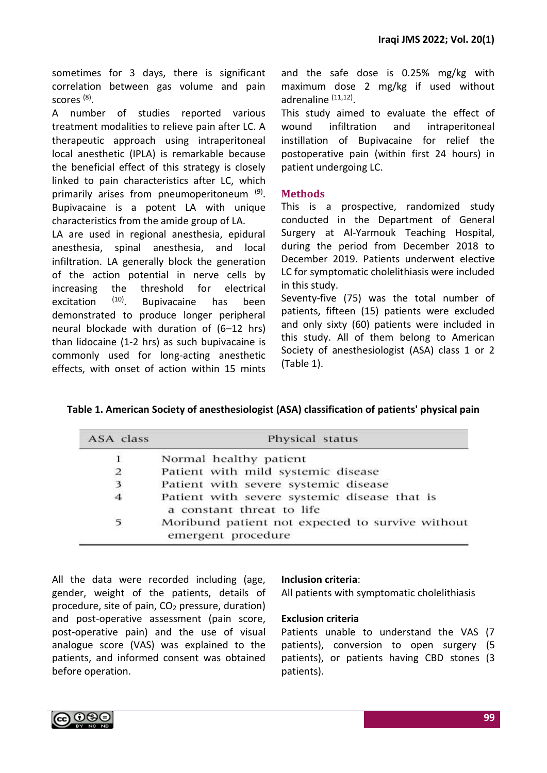sometimes for 3 days, there is significant correlation between gas volume and pain scores <sup>(8)</sup>.

A number of studies reported various treatment modalities to relieve pain after LC. A therapeutic approach using intraperitoneal local anesthetic (IPLA) is remarkable because the beneficial effect of this strategy is closely linked to pain characteristics after LC, which primarily arises from pneumoperitoneum<sup>(9)</sup>. Bupivacaine is a potent LA with unique characteristics from the amide group of LA.

LA are used in regional anesthesia, epidural anesthesia, spinal anesthesia, and local infiltration. LA generally block the generation of the action potential in nerve cells by increasing the threshold for electrical excitation <sup>(10)</sup>. Bupivacaine has been demonstrated to produce longer peripheral neural blockade with duration of (6–12 hrs) than lidocaine (1-2 hrs) as such bupivacaine is commonly used for long-acting anesthetic effects, with onset of action within 15 mints and the safe dose is 0.25% mg/kg with maximum dose 2 mg/kg if used without adrenaline (11,12).

This study aimed to evaluate the effect of wound infiltration and intraperitoneal instillation of Bupivacaine for relief the postoperative pain (within first 24 hours) in patient undergoing LC.

### **Methods**

This is a prospective, randomized study conducted in the Department of General Surgery at Al-Yarmouk Teaching Hospital, during the period from December 2018 to December 2019. Patients underwent elective LC for symptomatic cholelithiasis were included in this study.

Seventy-five (75) was the total number of patients, fifteen (15) patients were excluded and only sixty (60) patients were included in this study. All of them belong to American Society of anesthesiologist (ASA) class 1 or 2 (Table 1).

| ASA class | Physical status                                                           |  |  |
|-----------|---------------------------------------------------------------------------|--|--|
|           | Normal healthy patient                                                    |  |  |
| 2         | Patient with mild systemic disease                                        |  |  |
| 3         | Patient with severe systemic disease                                      |  |  |
| 4         | Patient with severe systemic disease that is<br>a constant threat to life |  |  |
| 5         | Moribund patient not expected to survive without<br>emergent procedure    |  |  |

All the data were recorded including (age, gender, weight of the patients, details of procedure, site of pain,  $CO<sub>2</sub>$  pressure, duration) and post-operative assessment (pain score, post-operative pain) and the use of visual analogue score (VAS) was explained to the patients, and informed consent was obtained before operation.

### **Inclusion criteria**:

All patients with symptomatic cholelithiasis

#### **Exclusion criteria**

Patients unable to understand the VAS (7 patients), conversion to open surgery (5 patients), or patients having CBD stones (3 patients).

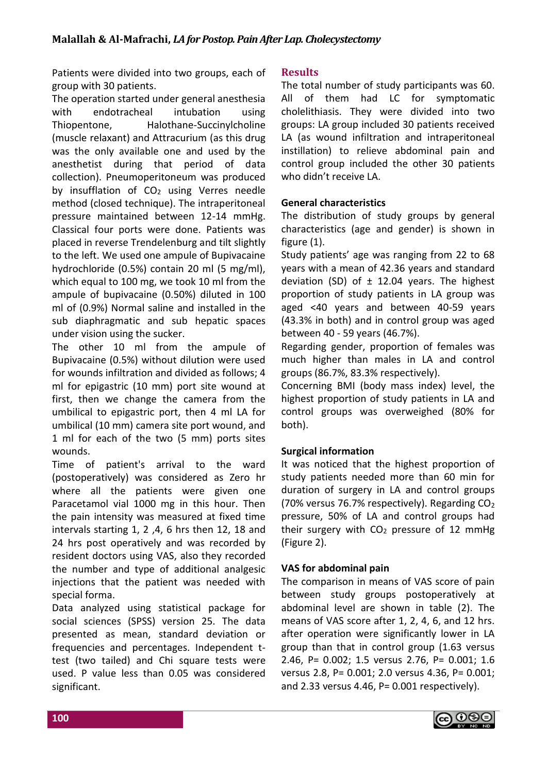Patients were divided into two groups, each of group with 30 patients.

The operation started under general anesthesia with endotracheal intubation using Thiopentone, Halothane-Succinylcholine (muscle relaxant) and Attracurium (as this drug was the only available one and used by the anesthetist during that period of data collection). Pneumoperitoneum was produced by insufflation of  $CO<sub>2</sub>$  using Verres needle method (closed technique). The intraperitoneal pressure maintained between 12-14 mmHg. Classical four ports were done. Patients was placed in reverse Trendelenburg and tilt slightly to the left. We used one ampule of Bupivacaine hydrochloride (0.5%) contain 20 ml (5 mg/ml), which equal to 100 mg, we took 10 ml from the ampule of bupivacaine (0.50%) diluted in 100 ml of (0.9%) Normal saline and installed in the sub diaphragmatic and sub hepatic spaces under vision using the sucker.

The other 10 ml from the ampule of Bupivacaine (0.5%) without dilution were used for wounds infiltration and divided as follows; 4 ml for epigastric (10 mm) port site wound at first, then we change the camera from the umbilical to epigastric port, then 4 ml LA for umbilical (10 mm) camera site port wound, and 1 ml for each of the two (5 mm) ports sites wounds.

Time of patient's arrival to the ward (postoperatively) was considered as Zero hr where all the patients were given one Paracetamol vial 1000 mg in this hour. Then the pain intensity was measured at fixed time intervals starting 1, 2 ,4, 6 hrs then 12, 18 and 24 hrs post operatively and was recorded by resident doctors using VAS, also they recorded the number and type of additional analgesic injections that the patient was needed with special forma.

Data analyzed using statistical package for social sciences (SPSS) version 25. The data presented as mean, standard deviation or frequencies and percentages. Independent ttest (two tailed) and Chi square tests were used. P value less than 0.05 was considered significant.

# **Results**

The total number of study participants was 60. All of them had LC for symptomatic cholelithiasis. They were divided into two groups: LA group included 30 patients received LA (as wound infiltration and intraperitoneal instillation) to relieve abdominal pain and control group included the other 30 patients who didn't receive LA.

# **General characteristics**

The distribution of study groups by general characteristics (age and gender) is shown in figure (1).

Study patients' age was ranging from 22 to 68 years with a mean of 42.36 years and standard deviation (SD) of  $\pm$  12.04 years. The highest proportion of study patients in LA group was aged <40 years and between 40-59 years (43.3% in both) and in control group was aged between 40 - 59 years (46.7%).

Regarding gender, proportion of females was much higher than males in LA and control groups (86.7%, 83.3% respectively).

Concerning BMI (body mass index) level, the highest proportion of study patients in LA and control groups was overweighed (80% for both).

# **Surgical information**

It was noticed that the highest proportion of study patients needed more than 60 min for duration of surgery in LA and control groups (70% versus 76.7% respectively). Regarding CO<sup>2</sup> pressure, 50% of LA and control groups had their surgery with  $CO<sub>2</sub>$  pressure of 12 mmHg (Figure 2).

### **VAS for abdominal pain**

The comparison in means of VAS score of pain between study groups postoperatively at abdominal level are shown in table (2). The means of VAS score after 1, 2, 4, 6, and 12 hrs. after operation were significantly lower in LA group than that in control group (1.63 versus 2.46, P= 0.002; 1.5 versus 2.76, P= 0.001; 1.6 versus 2.8, P= 0.001; 2.0 versus 4.36, P= 0.001; and 2.33 versus 4.46, P= 0.001 respectively).

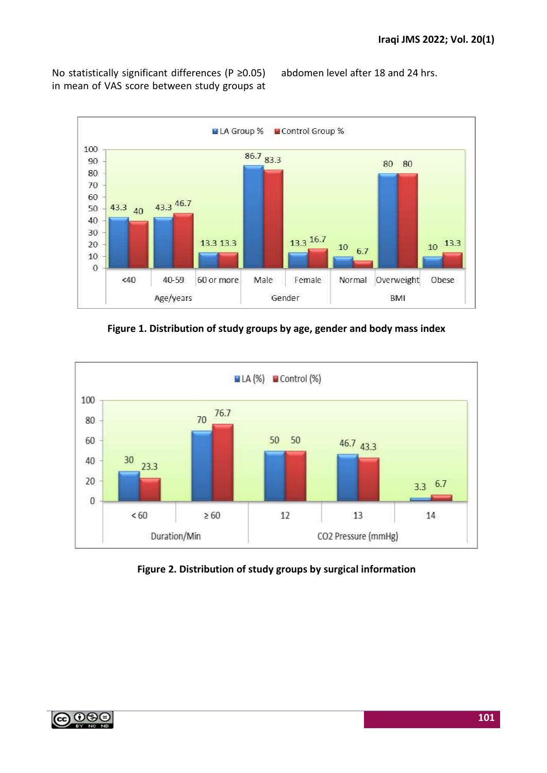No statistically significant differences (P ≥0.05) in mean of VAS score between study groups at

abdomen level after 18 and 24 hrs.







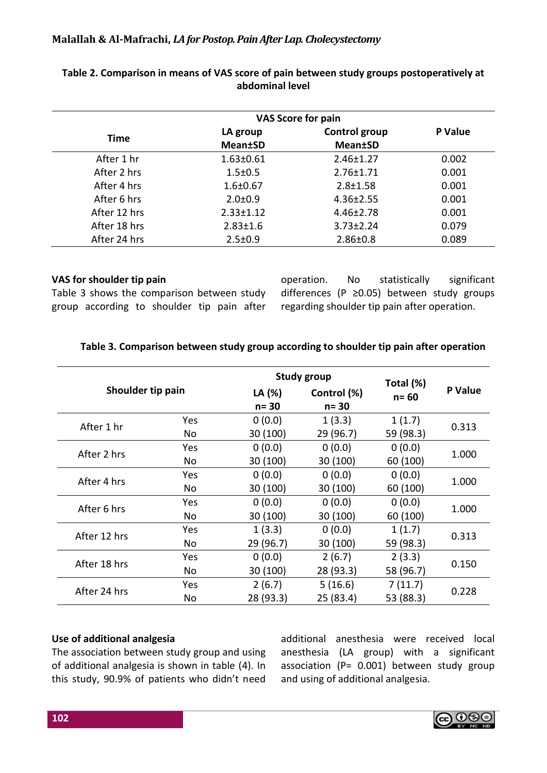### **Malallah & Al-Mafrachi,** *LA for Postop. Pain After Lap. Cholecystectomy*

| <b>VAS Score for pain</b> |                             |                                  |         |  |  |
|---------------------------|-----------------------------|----------------------------------|---------|--|--|
| Time                      | LA group<br><b>Mean</b> tSD | Control group<br><b>Mean</b> tSD | P Value |  |  |
| After 1 hr                | $1.63 \pm 0.61$             | $2.46 \pm 1.27$                  | 0.002   |  |  |
| After 2 hrs               | $1.5 \pm 0.5$               | $2.76 \pm 1.71$                  | 0.001   |  |  |
| After 4 hrs               | $1.6 \pm 0.67$              | $2.8 \pm 1.58$                   | 0.001   |  |  |
| After 6 hrs               | $2.0 \pm 0.9$               | $4.36 \pm 2.55$                  | 0.001   |  |  |
| After 12 hrs              | $2.33 \pm 1.12$             | $4.46 \pm 2.78$                  | 0.001   |  |  |
| After 18 hrs              | $2.83 \pm 1.6$              | $3.73 \pm 2.24$                  | 0.079   |  |  |
| After 24 hrs              | $2.5 \pm 0.9$               | $2.86 \pm 0.8$                   | 0.089   |  |  |

### **Table 2. Comparison in means of VAS score of pain between study groups postoperatively at abdominal level**

### **VAS for shoulder tip pain**

Table 3 shows the comparison between study group according to shoulder tip pain after operation. No statistically significant differences (P ≥0.05) between study groups regarding shoulder tip pain after operation.

|                   |            |                    | <b>Study group</b>      | Total (%) |                |  |
|-------------------|------------|--------------------|-------------------------|-----------|----------------|--|
| Shoulder tip pain |            | LA (%)<br>$n = 30$ | Control (%)<br>$n = 30$ | $n = 60$  | <b>P</b> Value |  |
| After 1 hr        | <b>Yes</b> | 0(0.0)             | 1(3.3)                  | 1(1.7)    | 0.313          |  |
|                   | No         | 30 (100)           | 29 (96.7)               | 59 (98.3) |                |  |
| After 2 hrs       | <b>Yes</b> | 0(0.0)             | 0(0.0)                  | 0(0.0)    | 1.000          |  |
|                   | No         | 30 (100)           | 30 (100)                | 60 (100)  |                |  |
| After 4 hrs       | Yes        | 0(0.0)             | 0(0.0)                  | 0(0.0)    | 1.000          |  |
|                   | No         | 30 (100)           | 30 (100)                | 60 (100)  |                |  |
| After 6 hrs       | Yes        | 0(0.0)             | 0(0.0)                  | 0(0.0)    |                |  |
|                   | No         | 30 (100)           | 30 (100)                | 60 (100)  | 1.000          |  |
| After 12 hrs      | <b>Yes</b> | 1(3.3)             | 0(0.0)                  | 1(1.7)    | 0.313          |  |
|                   | No         | 29 (96.7)          | 30 (100)                | 59 (98.3) |                |  |
|                   | <b>Yes</b> | 0(0.0)             | 2(6.7)                  | 2(3.3)    |                |  |
| After 18 hrs      | No         | 30 (100)           | 28 (93.3)               | 58 (96.7) | 0.150          |  |
|                   | Yes        | 2(6.7)             | 5(16.6)                 | 7(11.7)   |                |  |
| After 24 hrs      | No         | 28 (93.3)          | 25 (83.4)               | 53 (88.3) | 0.228          |  |

# **Table 3. Comparison between study group according to shoulder tip pain after operation**

# **Use of additional analgesia**

The association between study group and using of additional analgesia is shown in table (4). In this study, 90.9% of patients who didn't need additional anesthesia were received local anesthesia (LA group) with a significant association (P= 0.001) between study group and using of additional analgesia.

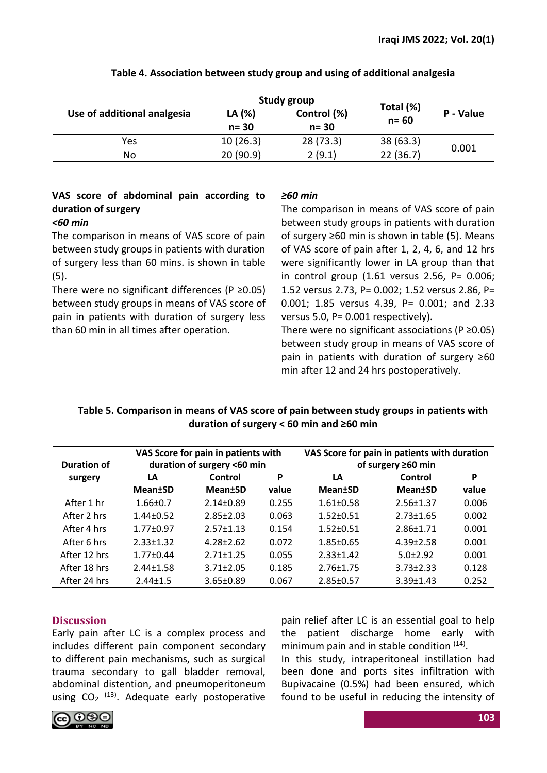|                             |                    | <b>Study group</b>      |                       |           |  |
|-----------------------------|--------------------|-------------------------|-----------------------|-----------|--|
| Use of additional analgesia | LA (%)<br>$n = 30$ | Control (%)<br>$n = 30$ | Total (%)<br>$n = 60$ | P - Value |  |
| Yes                         | 10(26.3)           | 28(73.3)                | 38(63.3)              | 0.001     |  |
| No                          | 20 (90.9)          | 2(9.1)                  | 22(36.7)              |           |  |

# **Table 4. Association between study group and using of additional analgesia**

# **VAS score of abdominal pain according to duration of surgery**

### *<60 min*

The comparison in means of VAS score of pain between study groups in patients with duration of surgery less than 60 mins. is shown in table (5).

There were no significant differences (P  $\geq$ 0.05) between study groups in means of VAS score of pain in patients with duration of surgery less than 60 min in all times after operation.

# *≥60 min*

The comparison in means of VAS score of pain between study groups in patients with duration of surgery ≥60 min is shown in table (5). Means of VAS score of pain after 1, 2, 4, 6, and 12 hrs were significantly lower in LA group than that in control group (1.61 versus 2.56, P= 0.006; 1.52 versus 2.73, P= 0.002; 1.52 versus 2.86, P= 0.001; 1.85 versus 4.39, P= 0.001; and 2.33 versus 5.0, P= 0.001 respectively).

There were no significant associations ( $P \ge 0.05$ ) between study group in means of VAS score of pain in patients with duration of surgery ≥60 min after 12 and 24 hrs postoperatively.

# **Table 5. Comparison in means of VAS score of pain between study groups in patients with duration of surgery < 60 min and ≥60 min**

| <b>Duration of</b> | VAS Score for pain in patients with<br>duration of surgery <60 min |                 |       | VAS Score for pain in patients with duration<br>of surgery $\geq 60$ min |                 |       |
|--------------------|--------------------------------------------------------------------|-----------------|-------|--------------------------------------------------------------------------|-----------------|-------|
| surgery            | LA                                                                 | Control         | P     | LA                                                                       | Control         | P     |
|                    | <b>Mean</b> tSD                                                    | <b>Mean±SD</b>  | value | <b>Mean±SD</b>                                                           | <b>Mean±SD</b>  | value |
| After 1 hr         | $1.66 \pm 0.7$                                                     | $2.14 \pm 0.89$ | 0.255 | $1.61 \pm 0.58$                                                          | $2.56 \pm 1.37$ | 0.006 |
| After 2 hrs        | $1.44 \pm 0.52$                                                    | $2.85 \pm 2.03$ | 0.063 | $1.52 \pm 0.51$                                                          | $2.73 \pm 1.65$ | 0.002 |
| After 4 hrs        | $1.77 \pm 0.97$                                                    | $2.57 \pm 1.13$ | 0.154 | $1.52 \pm 0.51$                                                          | $2.86 \pm 1.71$ | 0.001 |
| After 6 hrs        | $2.33 \pm 1.32$                                                    | $4.28 + 2.62$   | 0.072 | $1.85 \pm 0.65$                                                          | $4.39 \pm 2.58$ | 0.001 |
| After 12 hrs       | $1.77 \pm 0.44$                                                    | $2.71 \pm 1.25$ | 0.055 | $2.33 \pm 1.42$                                                          | $5.0 \pm 2.92$  | 0.001 |
| After 18 hrs       | $2.44 \pm 1.58$                                                    | $3.71 \pm 2.05$ | 0.185 | $2.76 \pm 1.75$                                                          | $3.73 \pm 2.33$ | 0.128 |
| After 24 hrs       | $2.44 + 1.5$                                                       | $3.65 \pm 0.89$ | 0.067 | $2.85 \pm 0.57$                                                          | $3.39 + 1.43$   | 0.252 |

# **Discussion**

Early pain after LC is a complex process and includes different pain component secondary to different pain mechanisms, such as surgical trauma secondary to gall bladder removal, abdominal distention, and pneumoperitoneum using  $CO<sub>2</sub>$  <sup>(13)</sup>. Adequate early postoperative

pain relief after LC is an essential goal to help the patient discharge home early with minimum pain and in stable condition <sup>(14)</sup>.

In this study, intraperitoneal instillation had been done and ports sites infiltration with Bupivacaine (0.5%) had been ensured, which found to be useful in reducing the intensity of

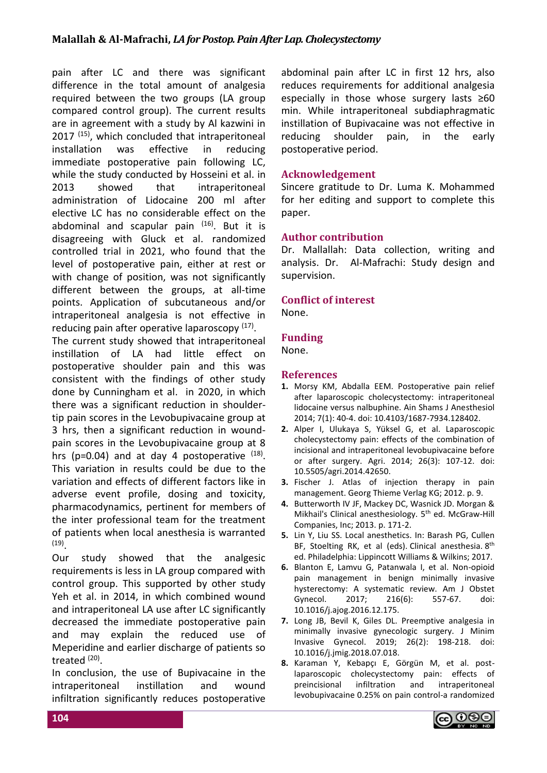pain after LC and there was significant difference in the total amount of analgesia required between the two groups (LA group compared control group). The current results are in agreement with a study by Al kazwini in 2017<sup>(15)</sup>, which concluded that intraperitoneal installation was effective in reducing immediate postoperative pain following LC, while the study conducted by Hosseini et al. in 2013 showed that intraperitoneal administration of Lidocaine 200 ml after elective LC has no considerable effect on the abdominal and scapular pain <sup>(16)</sup>. But it is disagreeing with Gluck et al. randomized controlled trial in 2021, who found that the level of postoperative pain, either at rest or with change of position, was not significantly different between the groups, at all-time points. Application of subcutaneous and/or intraperitoneal analgesia is not effective in reducing pain after operative laparoscopy (17).

The current study showed that intraperitoneal instillation of LA had little effect on postoperative shoulder pain and this was consistent with the findings of other study done by Cunningham et al. in 2020, in which there was a significant reduction in shouldertip pain scores in the Levobupivacaine group at 3 hrs, then a significant reduction in woundpain scores in the Levobupivacaine group at 8 hrs ( $p=0.04$ ) and at day 4 postoperative  $(18)$ . This variation in results could be due to the variation and effects of different factors like in adverse event profile, dosing and toxicity, pharmacodynamics, pertinent for members of the inter professional team for the treatment of patients when local anesthesia is warranted (19) .

Our study showed that the analgesic requirements is less in LA group compared with control group. This supported by other study Yeh et al. in 2014, in which combined wound and intraperitoneal LA use after LC significantly decreased the immediate postoperative pain and may explain the reduced use of Meperidine and earlier discharge of patients so treated (20).

In conclusion, the use of Bupivacaine in the intraperitoneal instillation and wound infiltration significantly reduces postoperative abdominal pain after LC in first 12 hrs, also reduces requirements for additional analgesia especially in those whose surgery lasts ≥60 min. While intraperitoneal subdiaphragmatic instillation of Bupivacaine was not effective in reducing shoulder pain, in the early postoperative period.

### **Acknowledgement**

Sincere gratitude to Dr. Luma K. Mohammed for her editing and support to complete this paper.

### **Author contribution**

Dr. Mallallah: Data collection, writing and analysis. Dr. Al-Mafrachi: Study design and supervision.

### **Conflict of interest**

None.

### **Funding**

None.

### **References**

- **1.** Morsy KM, Abdalla EEM. Postoperative pain relief after laparoscopic cholecystectomy: intraperitoneal lidocaine versus nalbuphine. Ain Shams J Anesthesiol 2014; 7(1): 40-4. doi: 10.4103/1687-7934.128402.
- **2.** Alper I, Ulukaya S, Yüksel G, et al. Laparoscopic cholecystectomy pain: effects of the combination of incisional and intraperitoneal levobupivacaine before or after surgery. Agri. 2014; 26(3): 107-12. doi: 10.5505/agri.2014.42650.
- **3.** Fischer J. Atlas of injection therapy in pain management. Georg Thieme Verlag KG; 2012. p. 9.
- **4.** Butterworth IV JF, Mackey DC, Wasnick JD. Morgan & Mikhail's Clinical anesthesiology. 5<sup>th</sup> ed. McGraw-Hill Companies, Inc; 2013. p. 171-2.
- **5.** Lin Y, Liu SS. Local anesthetics. In: Barash PG, Cullen BF, Stoelting RK, et al (eds). Clinical anesthesia. 8<sup>th</sup> ed. Philadelphia: Lippincott Williams & Wilkins; 2017.
- **6.** Blanton E, Lamvu G, Patanwala I, et al. Non-opioid pain management in benign minimally invasive hysterectomy: A systematic review. Am J Obstet<br>Gynecol. 2017: 216(6): 557-67. doi: Gynecol. 2017; 216(6): 557-67. doi: 10.1016/j.ajog.2016.12.175.
- **7.** Long JB, Bevil K, Giles DL. Preemptive analgesia in minimally invasive gynecologic surgery. J Minim Invasive Gynecol. 2019; 26(2): 198-218. doi: 10.1016/j.jmig.2018.07.018.
- **8.** Karaman Y, Kebapçı E, Görgün M, et al. postlaparoscopic cholecystectomy pain: effects of preincisional infiltration and intraperitoneal levobupivacaine 0.25% on pain control-a randomized